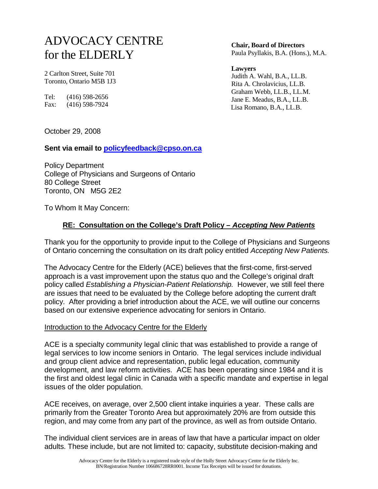# ADVOCACY CENTRE for the ELDERLY

2 Carlton Street, Suite 701 Toronto, Ontario M5B 1J3

Tel: (416) 598-2656 Fax: (416) 598-7924

 **Chair, Board of Directors** Paula Psyllakis, B.A. (Hons.), M.A.

 **Lawyers** Judith A. Wahl, B.A., LL.B. Rita A. Chrolavicius, LL.B. Graham Webb, LL.B., LL.M. Jane E. Meadus, B.A., LL.B. Lisa Romano, B.A., LL.B.

October 29, 2008

#### **Sent via email to policyfeedback@cpso.on.ca**

Policy Department College of Physicians and Surgeons of Ontario 80 College Street Toronto, ON M5G 2E2

To Whom It May Concern:

## **RE: Consultation on the College's Draft Policy – Accepting New Patients**

Thank you for the opportunity to provide input to the College of Physicians and Surgeons of Ontario concerning the consultation on its draft policy entitled Accepting New Patients.

The Advocacy Centre for the Elderly (ACE) believes that the first-come, first-served approach is a vast improvement upon the status quo and the College's original draft policy called Establishing a Physician-Patient Relationship. However, we still feel there are issues that need to be evaluated by the College before adopting the current draft policy. After providing a brief introduction about the ACE, we will outline our concerns based on our extensive experience advocating for seniors in Ontario.

#### Introduction to the Advocacy Centre for the Elderly

ACE is a specialty community legal clinic that was established to provide a range of legal services to low income seniors in Ontario. The legal services include individual and group client advice and representation, public legal education, community development, and law reform activities. ACE has been operating since 1984 and it is the first and oldest legal clinic in Canada with a specific mandate and expertise in legal issues of the older population.

ACE receives, on average, over 2,500 client intake inquiries a year. These calls are primarily from the Greater Toronto Area but approximately 20% are from outside this region, and may come from any part of the province, as well as from outside Ontario.

The individual client services are in areas of law that have a particular impact on older adults. These include, but are not limited to: capacity, substitute decision-making and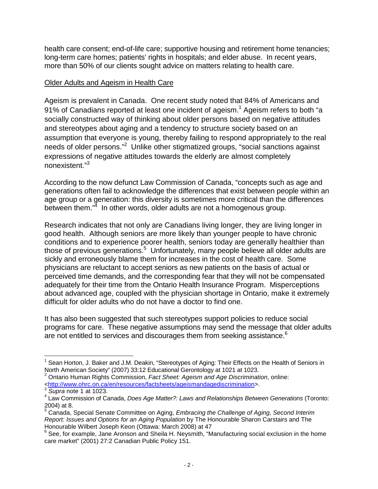health care consent; end-of-life care; supportive housing and retirement home tenancies; long-term care homes; patients' rights in hospitals; and elder abuse. In recent years, more than 50% of our clients sought advice on matters relating to health care.

### Older Adults and Ageism in Health Care

Ageism is prevalent in Canada. One recent study noted that 84% of Americans and 91% of Canadians reported at least one incident of ageism.<sup>1</sup> Ageism refers to both "a socially constructed way of thinking about older persons based on negative attitudes and stereotypes about aging and a tendency to structure society based on an assumption that everyone is young, thereby failing to respond appropriately to the real needs of older persons."<sup>2</sup> Unlike other stigmatized groups, "social sanctions against expressions of negative attitudes towards the elderly are almost completely nonexistent."<sup>3</sup>

According to the now defunct Law Commission of Canada, "concepts such as age and generations often fail to acknowledge the differences that exist between people within an age group or a generation: this diversity is sometimes more critical than the differences between them."<sup>4</sup> In other words, older adults are not a homogenous group.

Research indicates that not only are Canadians living longer, they are living longer in good health. Although seniors are more likely than younger people to have chronic conditions and to experience poorer health, seniors today are generally healthier than those of previous generations.<sup>5</sup> Unfortunately, many people believe all older adults are sickly and erroneously blame them for increases in the cost of health care. Some physicians are reluctant to accept seniors as new patients on the basis of actual or perceived time demands, and the corresponding fear that they will not be compensated adequately for their time from the Ontario Health Insurance Program. Misperceptions about advanced age, coupled with the physician shortage in Ontario, make it extremely difficult for older adults who do not have a doctor to find one.

It has also been suggested that such stereotypes support policies to reduce social programs for care. These negative assumptions may send the message that older adults are not entitled to services and discourages them from seeking assistance.<sup>6</sup>

1

<sup>&</sup>lt;sup>1</sup> Sean Horton, J. Baker and J.M. Deakin, "Stereotypes of Aging: Their Effects on the Health of Seniors in North American Society" (2007) 33:12 Educational Gerontology at 1021 at 1023. 2

Ontario Human Rights Commission, Fact Sheet: Ageism and Age Discrimination, online: <http://www.ohrc.on.ca/en/resources/factsheets/ageismandagediscrimination>.

 $3 \overline{\text{Supra}}$  note 1 at 1023.

<sup>&</sup>lt;sup>4</sup> Law Commission of Canada, Does Age Matter?: Laws and Relationships Between Generations (Toronto: 2004) at 8.

<sup>&</sup>lt;sup>5</sup> Canada, Special Senate Committee on Aging, Embracing the Challenge of Aging, Second Interim Report: Issues and Options for an Aging Population by The Honourable Sharon Carstairs and The Honourable Wilbert Joseph Keon (Ottawa: March 2008) at 47

 $^6$  See, for example, Jane Aronson and Sheila H. Neysmith, "Manufacturing social exclusion in the home care market" (2001) 27:2 Canadian Public Policy 151.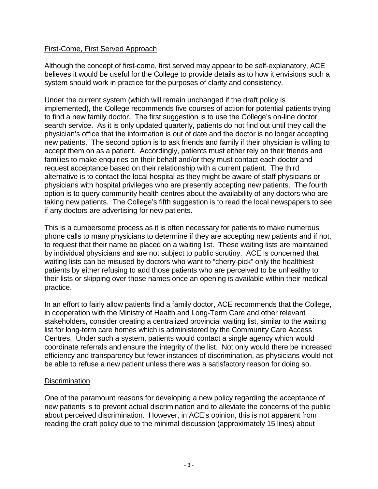### First-Come, First Served Approach

Although the concept of first-come, first served may appear to be self-explanatory, ACE believes it would be useful for the College to provide details as to how it envisions such a system should work in practice for the purposes of clarity and consistency.

Under the current system (which will remain unchanged if the draft policy is implemented), the College recommends five courses of action for potential patients trying to find a new family doctor. The first suggestion is to use the College's on-line doctor search service. As it is only updated quarterly, patients do not find out until they call the physician's office that the information is out of date and the doctor is no longer accepting new patients. The second option is to ask friends and family if their physician is willing to accept them on as a patient. Accordingly, patients must either rely on their friends and families to make enquiries on their behalf and/or they must contact each doctor and request acceptance based on their relationship with a current patient. The third alternative is to contact the local hospital as they might be aware of staff physicians or physicians with hospital privileges who are presently accepting new patients. The fourth option is to query community health centres about the availability of any doctors who are taking new patients. The College's fifth suggestion is to read the local newspapers to see if any doctors are advertising for new patients.

This is a cumbersome process as it is often necessary for patients to make numerous phone calls to many physicians to determine if they are accepting new patients and if not, to request that their name be placed on a waiting list. These waiting lists are maintained by individual physicians and are not subject to public scrutiny. ACE is concerned that waiting lists can be misused by doctors who want to "cherry-pick" only the healthiest patients by either refusing to add those patients who are perceived to be unhealthy to their lists or skipping over those names once an opening is available within their medical practice.

In an effort to fairly allow patients find a family doctor, ACE recommends that the College, in cooperation with the Ministry of Health and Long-Term Care and other relevant stakeholders, consider creating a centralized provincial waiting list, similar to the waiting list for long-term care homes which is administered by the Community Care Access Centres. Under such a system, patients would contact a single agency which would coordinate referrals and ensure the integrity of the list. Not only would there be increased efficiency and transparency but fewer instances of discrimination, as physicians would not be able to refuse a new patient unless there was a satisfactory reason for doing so.

#### **Discrimination**

One of the paramount reasons for developing a new policy regarding the acceptance of new patients is to prevent actual discrimination and to alleviate the concerns of the public about perceived discrimination. However, in ACE's opinion, this is not apparent from reading the draft policy due to the minimal discussion (approximately 15 lines) about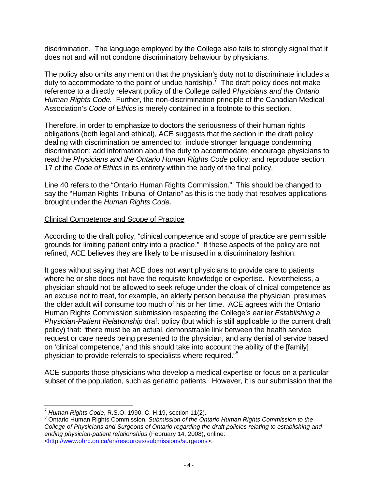discrimination. The language employed by the College also fails to strongly signal that it does not and will not condone discriminatory behaviour by physicians.

The policy also omits any mention that the physician's duty not to discriminate includes a duty to accommodate to the point of undue hardship.<sup>7</sup> The draft policy does not make reference to a directly relevant policy of the College called Physicians and the Ontario Human Rights Code. Further, the non-discrimination principle of the Canadian Medical Association's Code of Ethics is merely contained in a footnote to this section.

Therefore, in order to emphasize to doctors the seriousness of their human rights obligations (both legal and ethical), ACE suggests that the section in the draft policy dealing with discrimination be amended to: include stronger language condemning discrimination; add information about the duty to accommodate; encourage physicians to read the Physicians and the Ontario Human Rights Code policy; and reproduce section 17 of the Code of Ethics in its entirety within the body of the final policy.

Line 40 refers to the "Ontario Human Rights Commission." This should be changed to say the "Human Rights Tribunal of Ontario" as this is the body that resolves applications brought under the Human Rights Code.

#### Clinical Competence and Scope of Practice

According to the draft policy, "clinical competence and scope of practice are permissible grounds for limiting patient entry into a practice." If these aspects of the policy are not refined, ACE believes they are likely to be misused in a discriminatory fashion.

It goes without saying that ACE does not want physicians to provide care to patients where he or she does not have the requisite knowledge or expertise. Nevertheless, a physician should not be allowed to seek refuge under the cloak of clinical competence as an excuse not to treat, for example, an elderly person because the physician presumes the older adult will consume too much of his or her time. ACE agrees with the Ontario Human Rights Commission submission respecting the College's earlier Establishing a Physician-Patient Relationship draft policy (but which is still applicable to the current draft policy) that: "there must be an actual, demonstrable link between the health service request or care needs being presented to the physician, and any denial of service based on 'clinical competence,' and this should take into account the ability of the [family] physician to provide referrals to specialists where required."<sup>8</sup>

ACE supports those physicians who develop a medical expertise or focus on a particular subset of the population, such as geriatric patients. However, it is our submission that the

1

 $7$  Human Rights Code, R.S.O. 1990, C. H.19, section 11(2).

<sup>&</sup>lt;sup>8</sup> Ontario Human Rights Commission, Submission of the Ontario Human Rights Commission to the College of Physicians and Surgeons of Ontario regarding the draft policies relating to establishing and ending physician-patient relationships (February 14, 2008), online: <http://www.ohrc.on.ca/en/resources/submissions/surgeons>.